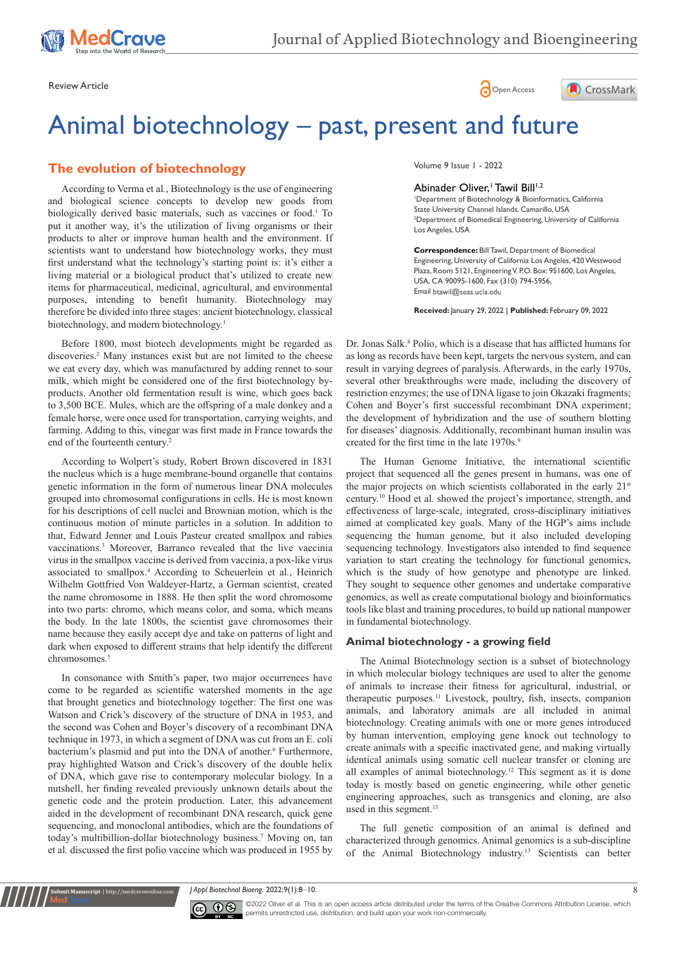





# Animal biotechnology – past, present and future

## **The evolution of biotechnology**

According to Verma et al*.*, Biotechnology is the use of engineering and biological science concepts to develop new goods from biologically derived basic materials, such as vaccines or food.<sup>1</sup> To put it another way, it's the utilization of living organisms or their products to alter or improve human health and the environment. If scientists want to understand how biotechnology works, they must first understand what the technology's starting point is: it's either a living material or a biological product that's utilized to create new items for pharmaceutical, medicinal, agricultural, and environmental purposes, intending to benefit humanity. Biotechnology may therefore be divided into three stages: ancient biotechnology, classical biotechnology, and modern biotechnology.<sup>1</sup>

Before 1800, most biotech developments might be regarded as discoveries.<sup>2</sup> Many instances exist but are not limited to the cheese we eat every day, which was manufactured by adding rennet to sour milk, which might be considered one of the first biotechnology byproducts. Another old fermentation result is wine, which goes back to 3,500 BCE. Mules, which are the offspring of a male donkey and a female horse, were once used for transportation, carrying weights, and farming. Adding to this, vinegar was first made in France towards the end of the fourteenth century.<sup>2</sup>

According to Wolpert's study, Robert Brown discovered in 1831 the nucleus which is a huge membrane-bound organelle that contains genetic information in the form of numerous linear DNA molecules grouped into chromosomal configurations in cells. He is most known for his descriptions of cell nuclei and Brownian motion, which is the continuous motion of minute particles in a solution. In addition to that, Edward Jenner and Louis Pasteur created smallpox and rabies vaccinations.3 Moreover, Barranco revealed that the live vaccinia virus in the smallpox vaccine is derived from vaccinia, a pox-like virus associated to smallpox.4 According to Scheuerlein et al*.*, Heinrich Wilhelm Gottfried Von Waldeyer-Hartz, a German scientist, created the name chromosome in 1888. He then split the word chromosome into two parts: chromo, which means color, and soma, which means the body. In the late 1800s, the scientist gave chromosomes their name because they easily accept dye and take on patterns of light and dark when exposed to different strains that help identify the different chromosomes.<sup>5</sup>

In consonance with Smith's paper, two major occurrences have come to be regarded as scientific watershed moments in the age that brought genetics and biotechnology together: The first one was Watson and Crick's discovery of the structure of DNA in 1953, and the second was Cohen and Boyer's discovery of a recombinant DNA technique in 1973, in which a segment of DNA was cut from an E. coli bacterium's plasmid and put into the DNA of another.<sup>6</sup> Furthermore, pray highlighted Watson and Crick's discovery of the double helix of DNA, which gave rise to contemporary molecular biology. In a nutshell, her finding revealed previously unknown details about the genetic code and the protein production. Later, this advancement aided in the development of recombinant DNA research, quick gene sequencing, and monoclonal antibodies, which are the foundations of today's multibillion-dollar biotechnology business.<sup>7</sup> Moving on, tan et al*.* discussed the first polio vaccine which was produced in 1955 by

Volume 9 Issue 1 - 2022

## Abinader Oliver,<sup>1</sup> Tawil Bill<sup>1,2</sup>

1 Department of Biotechnology & Bioinformatics, California State University Channel Islands, Camarillo, USA <sup>2</sup> Department of Biomedical Engineering, University of California Los Angeles, USA

**Correspondence:** Bill Tawil, Department of Biomedical Engineering, University of California Los Angeles, 420 Westwood Plaza, Room 5121, Engineering V. P.O. Box: 951600, Los Angeles, USA, CA 90095-1600, Fax (310) 794-5956, Email btawil@seas.ucla.edu

**Received:** January 29, 2022 | **Published:** February 09, 2022

Dr. Jonas Salk.<sup>8</sup> Polio, which is a disease that has afflicted humans for as long as records have been kept, targets the nervous system, and can result in varying degrees of paralysis. Afterwards, in the early 1970s, several other breakthroughs were made, including the discovery of restriction enzymes; the use of DNA ligase to join Okazaki fragments; Cohen and Boyer's first successful recombinant DNA experiment; the development of hybridization and the use of southern blotting for diseases' diagnosis. Additionally, recombinant human insulin was created for the first time in the late 1970s.<sup>9</sup>

The Human Genome Initiative, the international scientific project that sequenced all the genes present in humans, was one of the major projects on which scientists collaborated in the early 21<sup>st</sup> century.10 Hood et al*.* showed the project's importance, strength, and effectiveness of large-scale, integrated, cross-disciplinary initiatives aimed at complicated key goals. Many of the HGP's aims include sequencing the human genome, but it also included developing sequencing technology. Investigators also intended to find sequence variation to start creating the technology for functional genomics, which is the study of how genotype and phenotype are linked. They sought to sequence other genomes and undertake comparative genomics, as well as create computational biology and bioinformatics tools like blast and training procedures, to build up national manpower in fundamental biotechnology.

#### **Animal biotechnology - a growing field**

The Animal Biotechnology section is a subset of biotechnology in which molecular biology techniques are used to alter the genome of animals to increase their fitness for agricultural, industrial, or therapeutic purposes.11 Livestock, poultry, fish, insects, companion animals, and laboratory animals are all included in animal biotechnology. Creating animals with one or more genes introduced by human intervention, employing gene knock out technology to create animals with a specific inactivated gene, and making virtually identical animals using somatic cell nuclear transfer or cloning are all examples of animal biotechnology.12 This segment as it is done today is mostly based on genetic engineering, while other genetic engineering approaches, such as transgenics and cloning, are also used in this segment.<sup>13</sup>

The full genetic composition of an animal is defined and characterized through genomics. Animal genomics is a sub-discipline of the Animal Biotechnology industry.13 Scientists can better

*J Appl Biotechnol Bioeng.* 2022;9(1):8‒10. 8



**nit Manuscript** | http://medcraveonline.c

©2022 Oliver et al. This is an open access article distributed under the terms of the [Creative Commons Attribution License](https://creativecommons.org/licenses/by-nc/4.0/), which permits unrestricted use, distribution, and build upon your work non-commercially.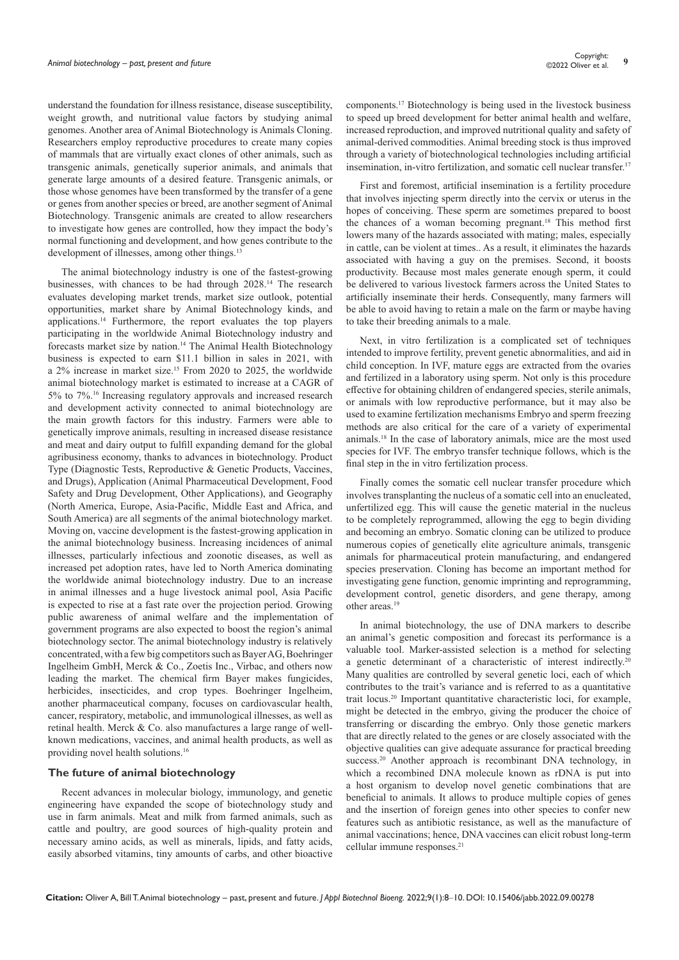understand the foundation for illness resistance, disease susceptibility, weight growth, and nutritional value factors by studying animal genomes. Another area of Animal Biotechnology is Animals Cloning. Researchers employ reproductive procedures to create many copies of mammals that are virtually exact clones of other animals, such as transgenic animals, genetically superior animals, and animals that generate large amounts of a desired feature. Transgenic animals, or those whose genomes have been transformed by the transfer of a gene or genes from another species or breed, are another segment of Animal Biotechnology. Transgenic animals are created to allow researchers to investigate how genes are controlled, how they impact the body's normal functioning and development, and how genes contribute to the development of illnesses, among other things.<sup>13</sup>

The animal biotechnology industry is one of the fastest-growing businesses, with chances to be had through 2028.14 The research evaluates developing market trends, market size outlook, potential opportunities, market share by Animal Biotechnology kinds, and applications.14 Furthermore, the report evaluates the top players participating in the worldwide Animal Biotechnology industry and forecasts market size by nation.<sup>14</sup> The Animal Health Biotechnology business is expected to earn \$11.1 billion in sales in 2021, with a 2% increase in market size.<sup>15</sup> From 2020 to 2025, the worldwide animal biotechnology market is estimated to increase at a CAGR of 5% to 7%.16 Increasing regulatory approvals and increased research and development activity connected to animal biotechnology are the main growth factors for this industry. Farmers were able to genetically improve animals, resulting in increased disease resistance and meat and dairy output to fulfill expanding demand for the global agribusiness economy, thanks to advances in biotechnology. Product Type (Diagnostic Tests, Reproductive & Genetic Products, Vaccines, and Drugs), Application (Animal Pharmaceutical Development, Food Safety and Drug Development, Other Applications), and Geography (North America, Europe, Asia-Pacific, Middle East and Africa, and South America) are all segments of the animal biotechnology market. Moving on, vaccine development is the fastest-growing application in the animal biotechnology business. Increasing incidences of animal illnesses, particularly infectious and zoonotic diseases, as well as increased pet adoption rates, have led to North America dominating the worldwide animal biotechnology industry. Due to an increase in animal illnesses and a huge livestock animal pool, Asia Pacific is expected to rise at a fast rate over the projection period. Growing public awareness of animal welfare and the implementation of government programs are also expected to boost the region's animal biotechnology sector. The animal biotechnology industry is relatively concentrated, with a few big competitors such as Bayer AG, Boehringer Ingelheim GmbH, Merck & Co., Zoetis Inc., Virbac, and others now leading the market. The chemical firm Bayer makes fungicides, herbicides, insecticides, and crop types. Boehringer Ingelheim, another pharmaceutical company, focuses on cardiovascular health, cancer, respiratory, metabolic, and immunological illnesses, as well as retinal health. Merck & Co. also manufactures a large range of wellknown medications, vaccines, and animal health products, as well as providing novel health solutions.<sup>16</sup>

#### **The future of animal biotechnology**

Recent advances in molecular biology, immunology, and genetic engineering have expanded the scope of biotechnology study and use in farm animals. Meat and milk from farmed animals, such as cattle and poultry, are good sources of high-quality protein and necessary amino acids, as well as minerals, lipids, and fatty acids, easily absorbed vitamins, tiny amounts of carbs, and other bioactive components.17 Biotechnology is being used in the livestock business to speed up breed development for better animal health and welfare, increased reproduction, and improved nutritional quality and safety of animal-derived commodities. Animal breeding stock is thus improved through a variety of biotechnological technologies including artificial insemination, in-vitro fertilization, and somatic cell nuclear transfer.<sup>17</sup>

First and foremost, artificial insemination is a fertility procedure that involves injecting sperm directly into the cervix or uterus in the hopes of conceiving. These sperm are sometimes prepared to boost the chances of a woman becoming pregnant.18 This method first lowers many of the hazards associated with mating; males, especially in cattle, can be violent at times.. As a result, it eliminates the hazards associated with having a guy on the premises. Second, it boosts productivity. Because most males generate enough sperm, it could be delivered to various livestock farmers across the United States to artificially inseminate their herds. Consequently, many farmers will be able to avoid having to retain a male on the farm or maybe having to take their breeding animals to a male.

Next, in vitro fertilization is a complicated set of techniques intended to improve fertility, prevent genetic abnormalities, and aid in child conception. In IVF, mature eggs are extracted from the ovaries and fertilized in a laboratory using sperm. Not only is this procedure effective for obtaining children of endangered species, sterile animals, or animals with low reproductive performance, but it may also be used to examine fertilization mechanisms Embryo and sperm freezing methods are also critical for the care of a variety of experimental animals.18 In the case of laboratory animals, mice are the most used species for IVF. The embryo transfer technique follows, which is the final step in the in vitro fertilization process.

Finally comes the somatic cell nuclear transfer procedure which involves transplanting the nucleus of a somatic cell into an enucleated, unfertilized egg. This will cause the genetic material in the nucleus to be completely reprogrammed, allowing the egg to begin dividing and becoming an embryo. Somatic cloning can be utilized to produce numerous copies of genetically elite agriculture animals, transgenic animals for pharmaceutical protein manufacturing, and endangered species preservation. Cloning has become an important method for investigating gene function, genomic imprinting and reprogramming, development control, genetic disorders, and gene therapy, among other areas.<sup>19</sup>

In animal biotechnology, the use of DNA markers to describe an animal's genetic composition and forecast its performance is a valuable tool. Marker-assisted selection is a method for selecting a genetic determinant of a characteristic of interest indirectly.20 Many qualities are controlled by several genetic loci, each of which contributes to the trait's variance and is referred to as a quantitative trait locus.20 Important quantitative characteristic loci, for example, might be detected in the embryo, giving the producer the choice of transferring or discarding the embryo. Only those genetic markers that are directly related to the genes or are closely associated with the objective qualities can give adequate assurance for practical breeding success.<sup>20</sup> Another approach is recombinant DNA technology, in which a recombined DNA molecule known as rDNA is put into a host organism to develop novel genetic combinations that are beneficial to animals. It allows to produce multiple copies of genes and the insertion of foreign genes into other species to confer new features such as antibiotic resistance, as well as the manufacture of animal vaccinations; hence, DNA vaccines can elicit robust long-term cellular immune responses.<sup>21</sup>